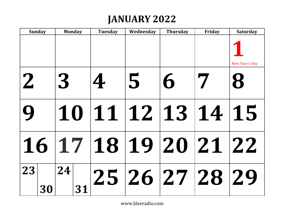# **JANUARY 2022**

| <b>Sunday</b> | <b>Monday</b>        | <b>Tuesday</b>    | Wednesday | <b>Thursday</b> | Friday | <b>Saturday</b> |
|---------------|----------------------|-------------------|-----------|-----------------|--------|-----------------|
|               |                      |                   |           |                 |        | New Year's Day  |
| $\mathbf 2$   | 3                    | 4                 | 5         | 6               |        |                 |
|               |                      | 10 11 12 13 14 15 |           |                 |        |                 |
|               | 16 17 18 19 20 21 22 |                   |           |                 |        |                 |
| 23<br>30      | 24<br>31             | 25 26 27 28 29    |           |                 |        |                 |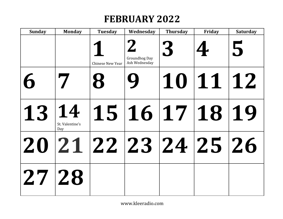# **FEBRUARY 2022**

| <b>Sunday</b> | <b>Monday</b>                | <b>Tuesday</b>          | Wednesday                             | <b>Thursday</b> | Friday         | <b>Saturday</b> |
|---------------|------------------------------|-------------------------|---------------------------------------|-----------------|----------------|-----------------|
|               |                              | <b>Chinese New Year</b> | <b>Groundhog Day</b><br>Ash Wednesday | 3               |                | 5               |
| 6             |                              |                         |                                       |                 | 10 11 12       |                 |
| 13            | 14<br>St. Valentine's<br>Day |                         |                                       |                 | 15 16 17 18 19 |                 |
|               |                              | 20 21 22 23 24 25 26    |                                       |                 |                |                 |
| 27 28         |                              |                         |                                       |                 |                |                 |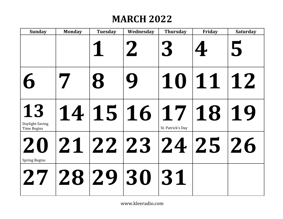# **MARCH 2022**

| <b>Sunday</b>                               | <b>Monday</b> | <b>Tuesday</b> | Wednesday            | <b>Thursday</b>   | Friday   | <b>Saturday</b> |
|---------------------------------------------|---------------|----------------|----------------------|-------------------|----------|-----------------|
|                                             |               |                |                      |                   |          | 5               |
| 6                                           |               |                | Ų                    |                   | 10 11 12 |                 |
| 13<br>Daylight Saving<br><b>Time Begins</b> |               |                | 14 15 16 17 18 19    | St. Patrick's Day |          |                 |
| <b>Spring Begins</b>                        |               |                | 20 21 22 23 24 25 26 |                   |          |                 |
|                                             |               |                | 27 28 29 30 31       |                   |          |                 |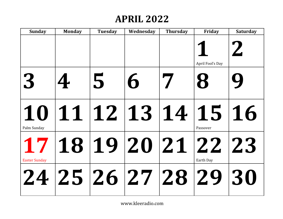#### **APRIL 2022**

| <b>Sunday</b>        | <b>Monday</b> | <b>Tuesday</b> | Wednesday            | <b>Thursday</b> | Friday           | <b>Saturday</b> |
|----------------------|---------------|----------------|----------------------|-----------------|------------------|-----------------|
|                      |               |                |                      |                 | April Fool's Day |                 |
| 3                    |               | 5              | 6                    |                 |                  |                 |
| Palm Sunday          |               |                | 10 11 12 13 14 15 16 |                 | Passover         |                 |
| <b>Easter Sunday</b> |               |                | 17 18 19 20 21 22 23 |                 | Earth Day        |                 |
|                      |               |                | 24 25 26 27 28 29 30 |                 |                  |                 |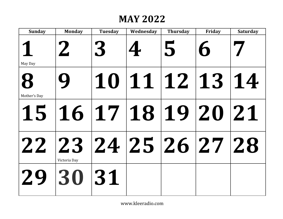#### **MAY 2022**

| <b>Sunday</b> | <b>Monday</b>                        | <b>Tuesday</b> | Wednesday      | <b>Thursday</b> | Friday | <b>Saturday</b> |
|---------------|--------------------------------------|----------------|----------------|-----------------|--------|-----------------|
| May Day       | $\mathbf{Z}$                         | 3              |                | 5               |        |                 |
|               |                                      |                |                |                 |        |                 |
| Mother's Day  |                                      |                | 10 11 12 13 14 |                 |        |                 |
|               |                                      |                |                |                 |        |                 |
|               | 15 16 17 18 19 20 21                 |                |                |                 |        |                 |
|               | 22 23 24 25 26 27 28<br>Victoria Day |                |                |                 |        |                 |
|               | 29 30 31                             |                |                |                 |        |                 |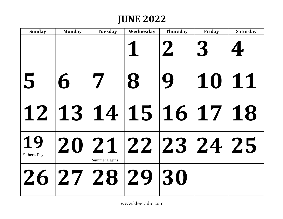### **JUNE 2022**

| <b>Sunday</b>      | <b>Monday</b> | <b>Tuesday</b>       | Wednesday            | <b>Thursday</b> | Friday | <b>Saturday</b> |
|--------------------|---------------|----------------------|----------------------|-----------------|--------|-----------------|
|                    |               |                      |                      |                 |        |                 |
| 5                  | 6             |                      |                      |                 | 10 11  |                 |
|                    |               |                      | 12 13 14 15 16 17 18 |                 |        |                 |
| 19<br>Father's Day |               | <b>Summer Begins</b> | 20 21 22 23 24 25    |                 |        |                 |
|                    |               |                      | 26 27 28 29 30       |                 |        |                 |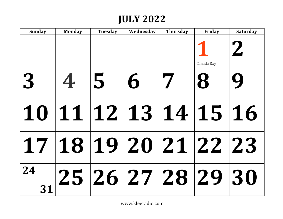## **JULY 2022**

| <b>Sunday</b> | <b>Monday</b> | <b>Tuesday</b> | Wednesday            | <b>Thursday</b> | Friday     | <b>Saturday</b> |
|---------------|---------------|----------------|----------------------|-----------------|------------|-----------------|
|               |               |                |                      |                 | Canada Day |                 |
| 3             | 4             | 5              | h                    |                 |            |                 |
|               |               |                | 10 11 12 13 14 15 16 |                 |            |                 |
|               |               |                | 17 18 19 20 21 22 23 |                 |            |                 |
| 24 <br>31     |               |                | 25 26 27 28 29 30    |                 |            |                 |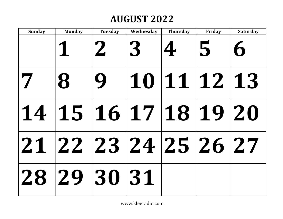# **AUGUST 2022**

| <b>Sunday</b> | <b>Monday</b>        | <b>Tuesday</b> | Wednesday | <b>Thursday</b> | Friday      | <b>Saturday</b> |
|---------------|----------------------|----------------|-----------|-----------------|-------------|-----------------|
|               |                      |                | 3         |                 | 5           |                 |
|               |                      |                |           |                 | 10 11 12 13 |                 |
|               | 14 15 16 17 18 19 20 |                |           |                 |             |                 |
|               | 21 22 23 24 25 26 27 |                |           |                 |             |                 |
|               | 28 29 30 31          |                |           |                 |             |                 |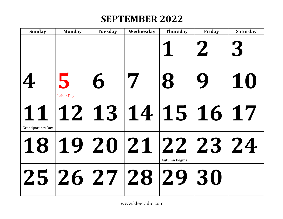## **SEPTEMBER 2022**

| <b>Sunday</b>           | <b>Monday</b>         | <b>Tuesday</b> | Wednesday            | <b>Thursday</b> | Friday | <b>Saturday</b> |
|-------------------------|-----------------------|----------------|----------------------|-----------------|--------|-----------------|
|                         |                       |                |                      |                 |        | 3               |
|                         | 5<br><b>Labor Day</b> | 6              |                      |                 |        | 10              |
| <b>Grandparents Day</b> |                       |                | 11 12 13 14 15 16 17 |                 |        |                 |
|                         |                       |                | 18 19 20 21 22 23 24 | Autumn Begins   |        |                 |
|                         |                       |                | 25 26 27 28 29 30    |                 |        |                 |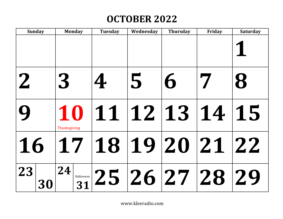# **OCTOBER 2022**

| <b>Sunday</b> | <b>Monday</b>               | <b>Tuesday</b>                | Wednesday | <b>Thursday</b> | Friday | <b>Saturday</b> |
|---------------|-----------------------------|-------------------------------|-----------|-----------------|--------|-----------------|
|               |                             |                               |           |                 |        |                 |
| $\mathbf{Z}$  | 3                           | 4                             | 5         | 6               |        |                 |
|               | Thanksgiving                | 10 11 12 13 14                |           |                 |        | 15              |
| 16            | 17   18   19   20   21   22 |                               |           |                 |        |                 |
| 23<br>30      | 24                          | $\frac{1}{31}$ 25 26 27 28 29 |           |                 |        |                 |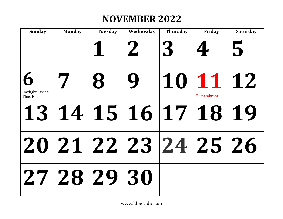# **NOVEMBER 2022**

| <b>Sunday</b>                | <b>Monday</b> | <b>Tuesday</b> | Wednesday            | <b>Thursday</b> | Friday                 | <b>Saturday</b> |
|------------------------------|---------------|----------------|----------------------|-----------------|------------------------|-----------------|
|                              |               |                |                      | 3               |                        | 5               |
| Daylight Saving<br>Time Ends |               |                |                      |                 | 1011112<br>Remembrance |                 |
|                              |               |                | 13 14 15 16 17 18 19 |                 |                        |                 |
|                              |               |                | 20 21 22 23 24 25 26 |                 |                        |                 |
|                              | 27 28 29 30   |                |                      |                 |                        |                 |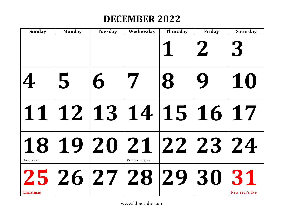## **DECEMBER 2022**

| <b>Sunday</b>    | <b>Monday</b> | <b>Tuesday</b> | Wednesday                                    | <b>Thursday</b>            | Friday | <b>Saturday</b> |
|------------------|---------------|----------------|----------------------------------------------|----------------------------|--------|-----------------|
|                  |               |                |                                              |                            |        | 3               |
| 4                | 5             |                |                                              | $\boldsymbol{\mathcal{B}}$ |        | 10              |
|                  |               |                | 11 12 13 14 15 16 17                         |                            |        |                 |
| Hanukkah         |               |                | 18 19 20 21 22 23 24<br><b>Winter Begins</b> |                            |        |                 |
| <b>Christmas</b> |               |                | 25 26 27 28 29 30 31                         |                            |        | New Year's Eve  |